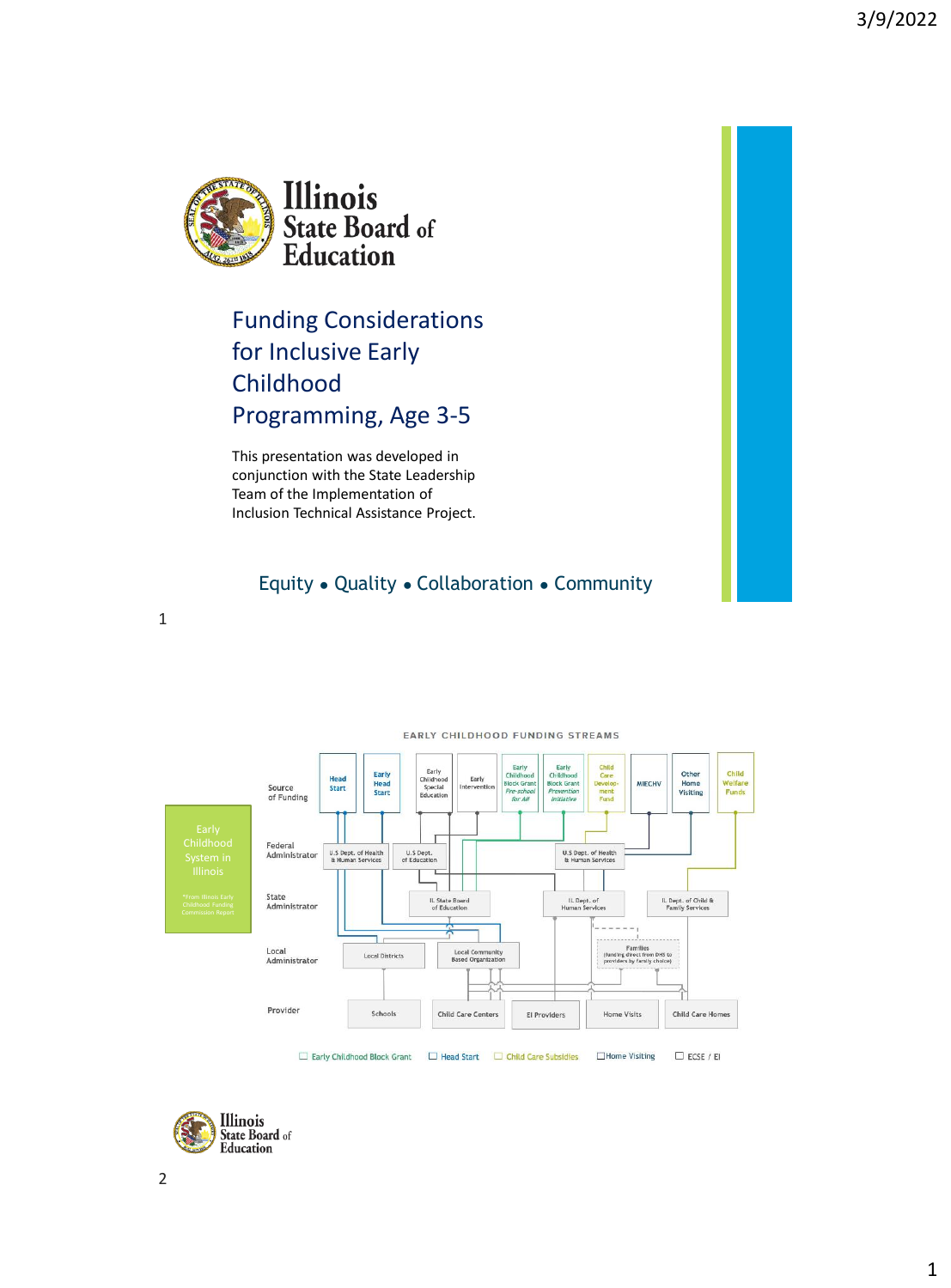

Funding Considerations for Inclusive Early Childhood Programming, Age 3-5

This presentation was developed in conjunction with the State Leadership Team of the Implementation of Inclusion Technical Assistance Project.

#### Equity ● Quality ● Collaboration ● Community







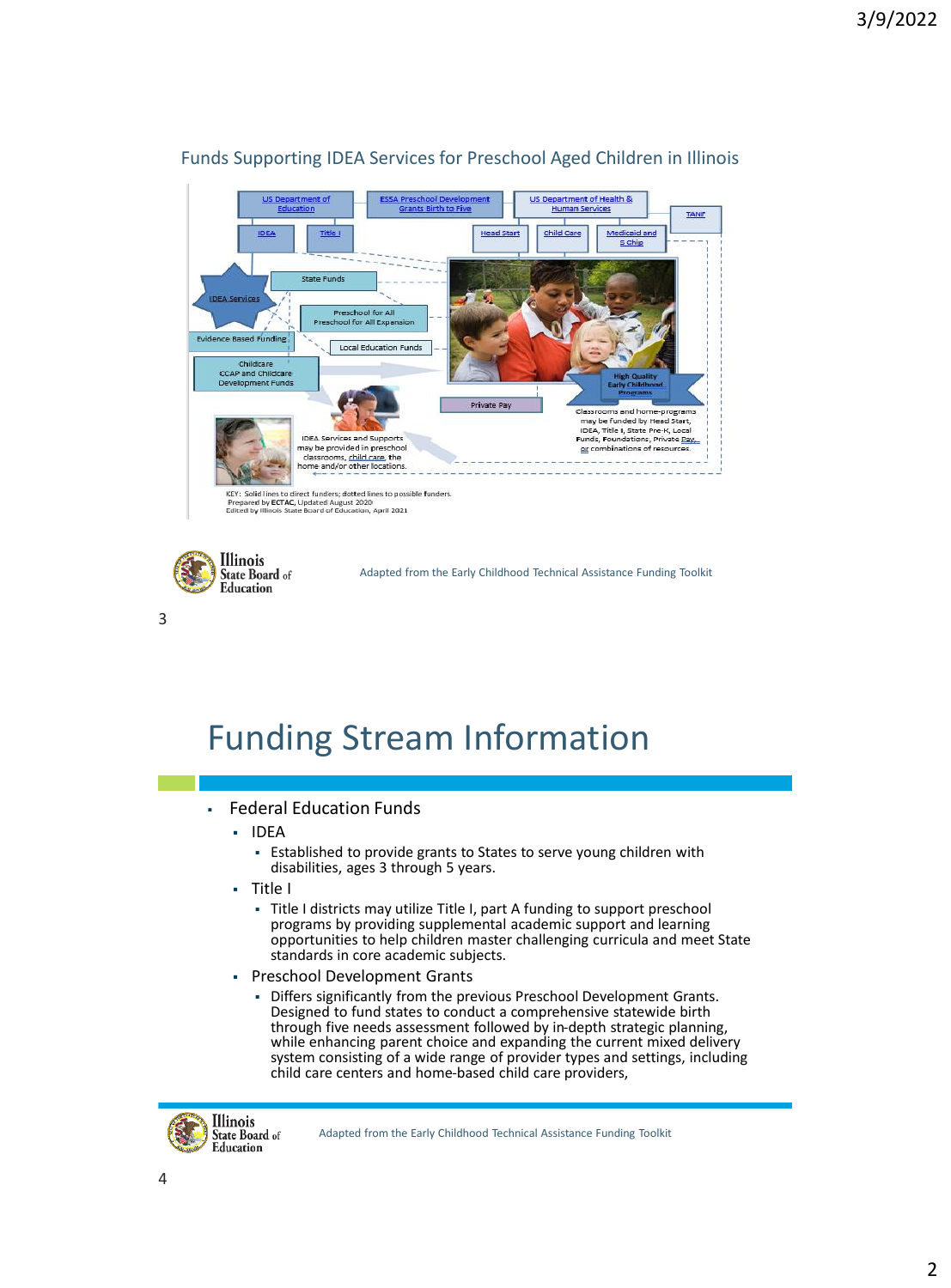

#### Funds Supporting IDEA Services for Preschool Aged Children in Illinois

**Illinois** State Board of Adapted from the Early Childhood Technical Assistance Funding Toolkit Education

# Funding Stream Information

#### **Federal Education Funds**

- IDEA
	- Established to provide grants to States to serve young children with disabilities, ages 3 through 5 years.
- Title I
	- Title I districts may utilize Title I, part A funding to support preschool programs by providing supplemental academic support and learning opportunities to help children master challenging curricula and meet State standards in core academic subjects.
- Preschool Development Grants
	- Differs significantly from the previous Preschool Development Grants. Designed to fund states to conduct a comprehensive statewide birth through five needs assessment followed by in-depth strategic planning, while enhancing parent choice and expanding the current mixed delivery system consisting of a wide range of provider types and settings, including child care centers and home-based child care providers,



Adapted from the Early Childhood Technical Assistance Funding Toolkit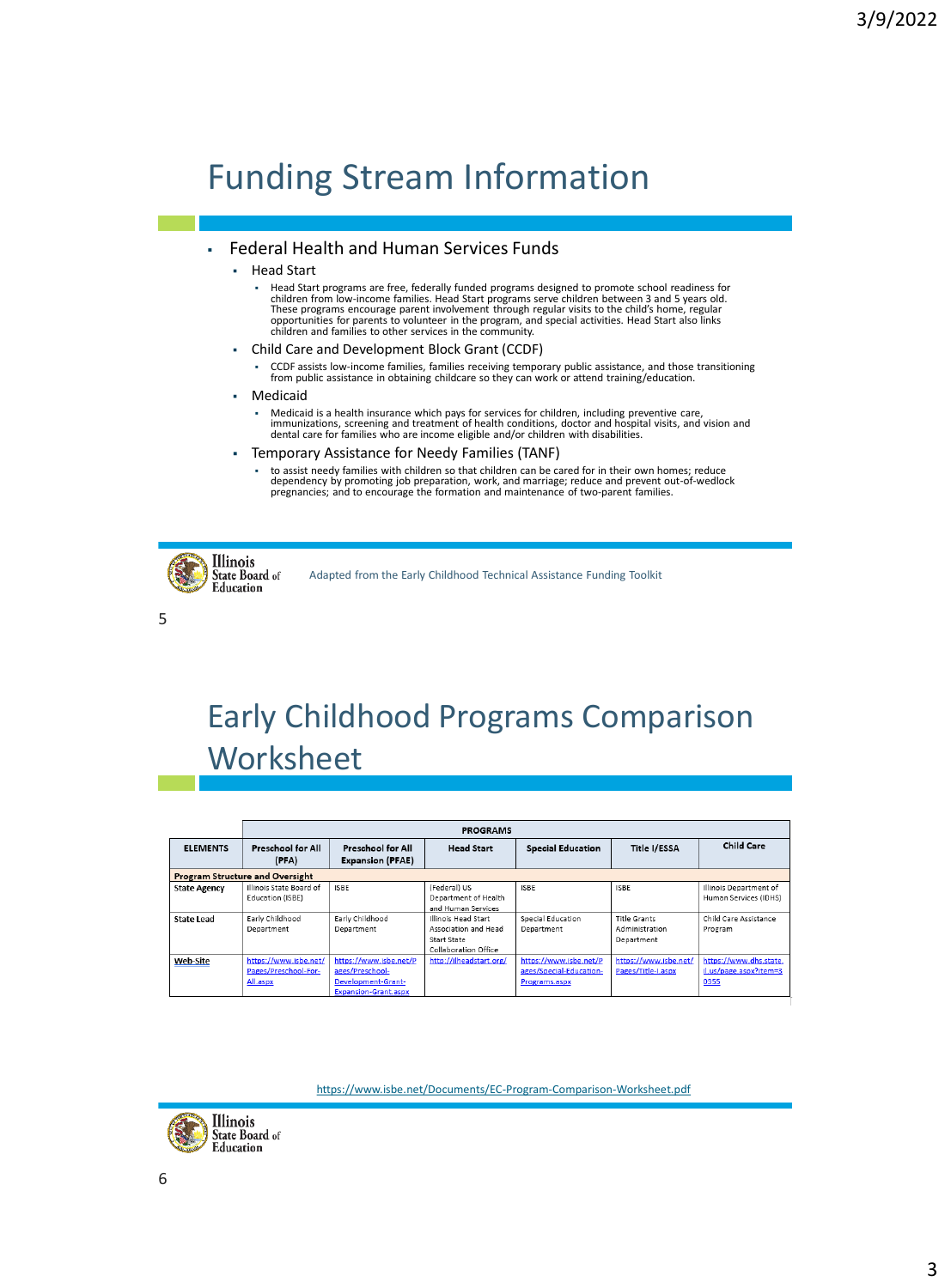# Funding Stream Information

#### ▪ Federal Health and Human Services Funds

#### **Head Start**

- Head Start programs are free, federally funded programs designed to promote school readiness for<br>Children from low-income families. Head Start programs serve children between 3 and 5 years old.<br>These programs encourage par opportunities for parents to volunteer in the program, and special activities. Head Start also links children and families to other services in the community.
- Child Care and Development Block Grant (CCDF)
	- CCDF assists low-income families, families receiving temporary public assistance, and those transitioning from public assistance in obtaining childcare so they can work or attend training/education.
- Medicaid
	- Medicaid is a health insurance which pays for services for children, including preventive care,<br>immunizations, screening and treatment of health conditions, doctor and hospital visits, and vision and<br>dental care for fami
- Temporary Assistance for Needy Families (TANF)
	- to assist needy families with children so that children can be cared for in their own homes; reduce dependency by promoting job preparation, work, and marriage; reduce and prevent out-of-wedlock pregnancies; and to encourage the formation and maintenance of two-parent families.



Adapted from the Early Childhood Technical Assistance Funding Toolkit

5

### Early Childhood Programs Comparison **Worksheet**

|                                        |                                                                              | <b>PROGRAMS</b>                                                                                |                                                                                                                                                         |                                                                    |                                                                    |                                                                                     |  |  |  |  |  |  |
|----------------------------------------|------------------------------------------------------------------------------|------------------------------------------------------------------------------------------------|---------------------------------------------------------------------------------------------------------------------------------------------------------|--------------------------------------------------------------------|--------------------------------------------------------------------|-------------------------------------------------------------------------------------|--|--|--|--|--|--|
| <b>ELEMENTS</b>                        | <b>Preschool for All</b><br>(PFA)                                            | Preschool for All<br><b>Expansion (PFAE)</b>                                                   | <b>Head Start</b>                                                                                                                                       | <b>Special Education</b>                                           | <b>Title I/ESSA</b>                                                | <b>Child Care</b>                                                                   |  |  |  |  |  |  |
| <b>Program Structure and Oversight</b> |                                                                              |                                                                                                |                                                                                                                                                         |                                                                    |                                                                    |                                                                                     |  |  |  |  |  |  |
| <b>State Agency</b><br>State Lead      | Illinois State Board of<br>Education (ISBE)<br>Early Childhood<br>Department | <b>ISBE</b><br>Early Childhood<br>Department                                                   | (Federal) US<br>Department of Health<br>and Human Services<br>Illinois Head Start<br>Association and Head<br><b>Start State</b><br>Collaboration Office | <b>ISBE</b><br>Special Education<br>Department                     | <b>ISBE</b><br><b>Title Grants</b><br>Administration<br>Department | Illinois Department of<br>Human Services (IDHS)<br>Child Care Assistance<br>Program |  |  |  |  |  |  |
| <b>Web-Site</b>                        | https://www.isbe.net/<br>Pages/Preschool-For-<br>All.aspx                    | https://www.isbe.net/P<br>ages/Preschool-<br>Development-Grant-<br><b>Expansion-Grant.aspx</b> | http://ilheadstart.org/                                                                                                                                 | https://www.isbe.net/P<br>ages/Special-Education-<br>Programs.aspx | https://www.isbe.net/<br>Pages/Title-I.aspx                        | https://www.dhs.state.<br>il.us/page.aspx?item=3<br>0355                            |  |  |  |  |  |  |

<https://www.isbe.net/Documents/EC-Program-Comparison-Worksheet.pdf>

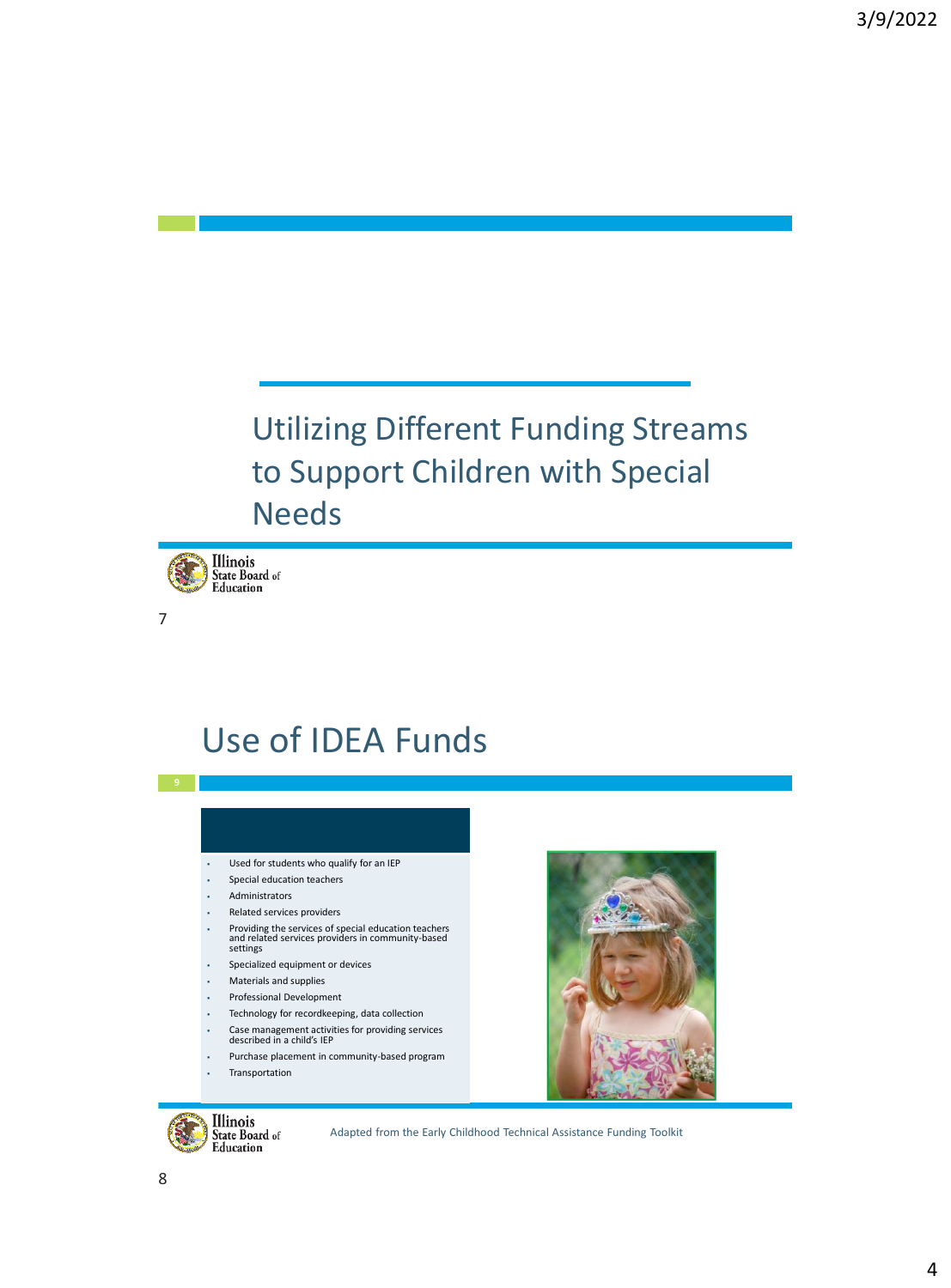### Utilizing Different Funding Streams to Support Children with Special Needs **<sup>7</sup>**



7

### Use of IDEA Funds

- Used for students who qualify for an IEP
- Special education teachers
- **Administrators**
- Related services providers
- Providing the services of special education teachers and related services providers in community-based settings
- Specialized equipment or devices
- **Materials and supplies**
- Professional Development
- Technology for recordkeeping, data collection
- Case management activities for providing services described in a child's IEP
- Purchase placement in community-based program
- **Transportation**



Illinois State Board of Education

Adapted from the Early Childhood Technical Assistance Funding Toolkit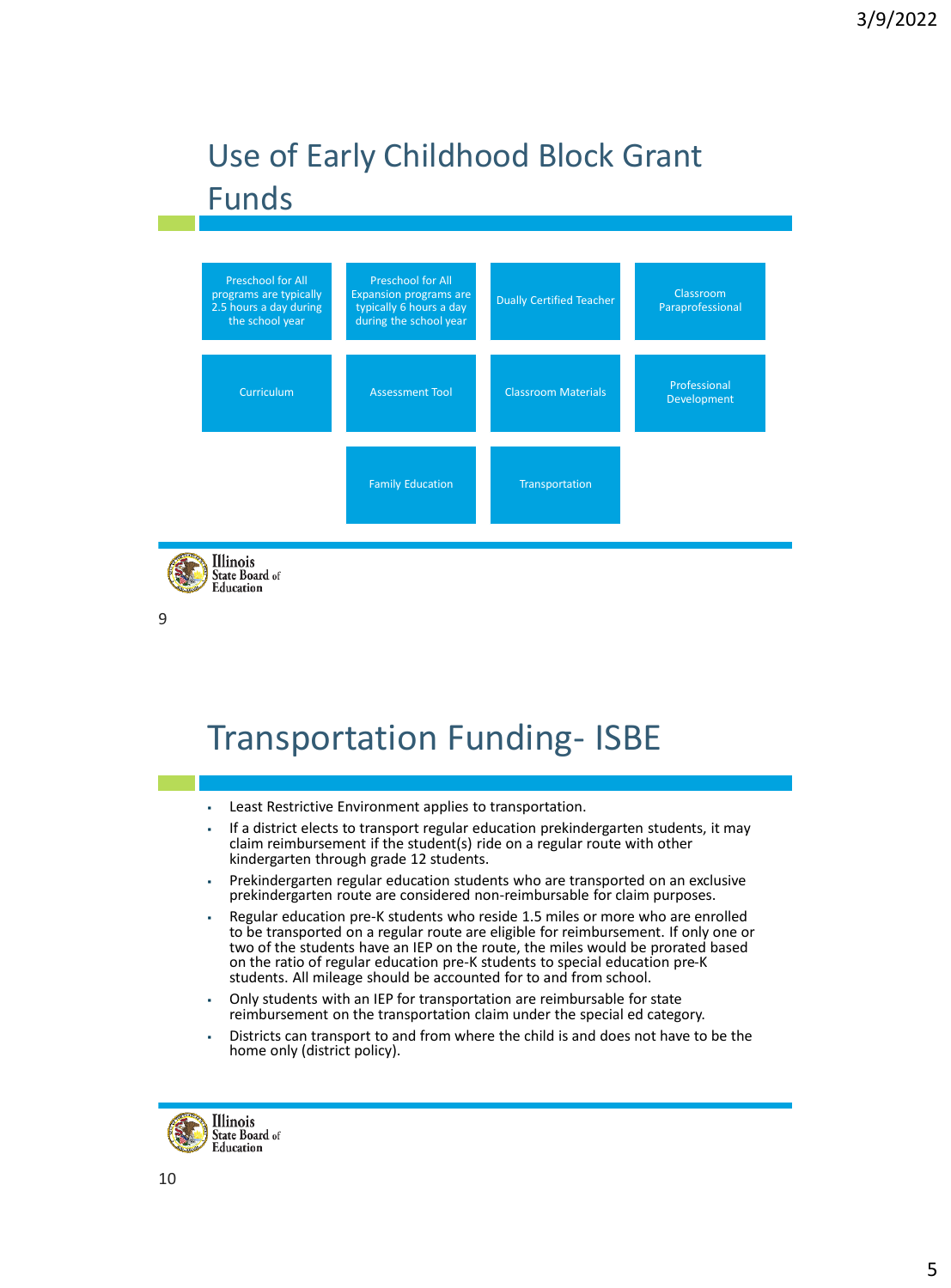### Use of Early Childhood Block Grant Funds



Illinois State Board of Education

9

### Transportation Funding- ISBE

- Least Restrictive Environment applies to transportation.
- If a district elects to transport regular education prekindergarten students, it may claim reimbursement if the student(s) ride on a regular route with other kindergarten through grade 12 students.
- Prekindergarten regular education students who are transported on an exclusive prekindergarten route are considered non-reimbursable for claim purposes.
- Regular education pre-K students who reside 1.5 miles or more who are enrolled to be transported on a regular route are eligible for reimbursement. If only one or two of the students have an IEP on the route, the miles would be prorated based on the ratio of regular education pre-K students to special education pre-K students. All mileage should be accounted for to and from school.
- Only students with an IEP for transportation are reimbursable for state reimbursement on the transportation claim under the special ed category.
- Districts can transport to and from where the child is and does not have to be the home only (district policy).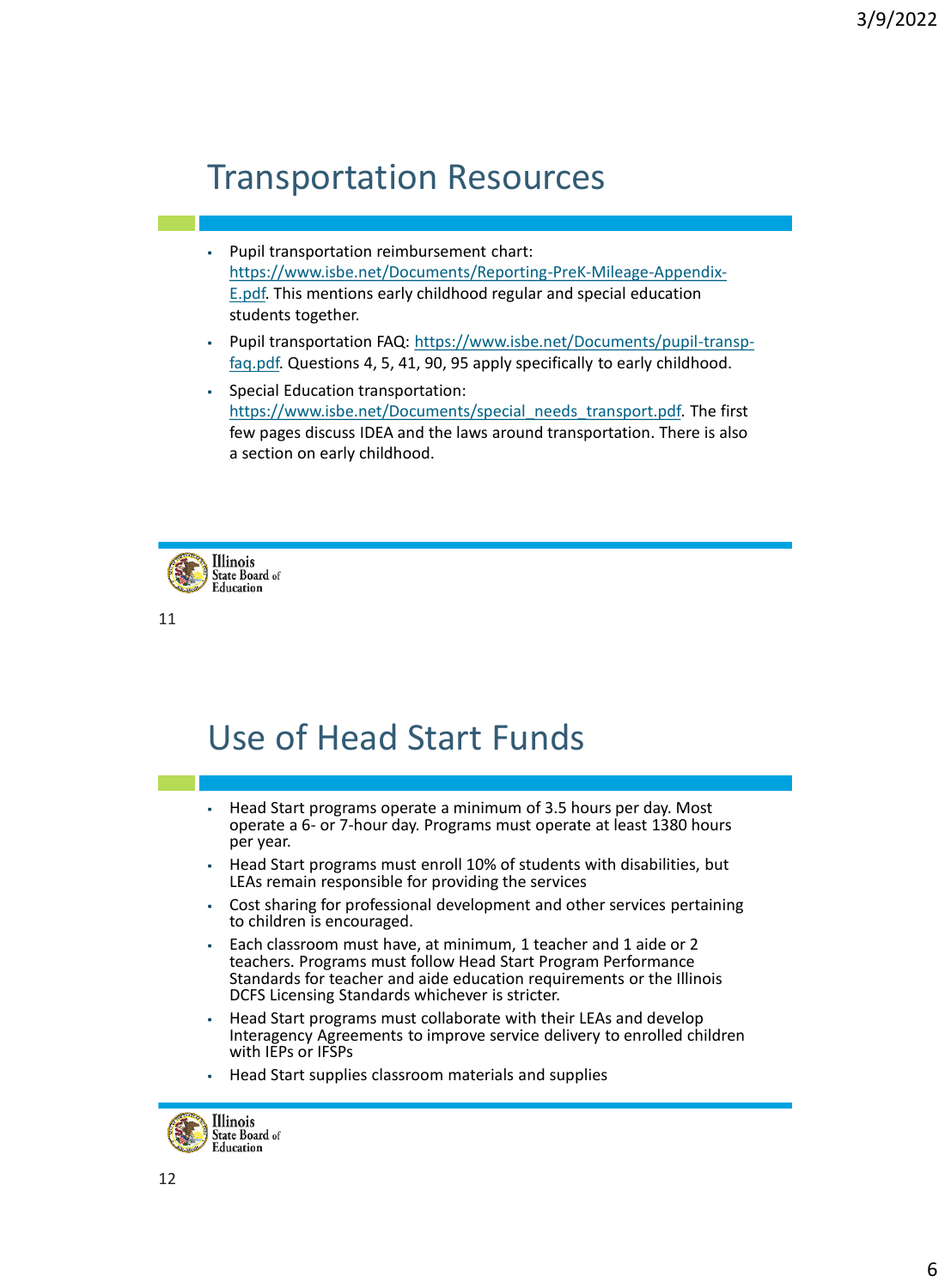### Transportation Resources

- Pupil transportation reimbursement chart: [https://www.isbe.net/Documents/Reporting-PreK-Mileage-Appendix-](https://www.isbe.net/Documents/Reporting-PreK-Mileage-Appendix-E.pdf)E.pdf. This mentions early childhood regular and special education students together.
- [Pupil transportation FAQ: https://www.isbe.net/Documents/pupil-transp](https://www.isbe.net/Documents/pupil-transp-faq.pdf)faq.pdf. Questions 4, 5, 41, 90, 95 apply specifically to early childhood.
- Special Education transportation: [https://www.isbe.net/Documents/special\\_needs\\_transport.pdf.](https://www.isbe.net/Documents/special_needs_transport.pdf) The first few pages discuss IDEA and the laws around transportation. There is also a section on early childhood.



11

### Use of Head Start Funds

- Head Start programs operate a minimum of 3.5 hours per day. Most operate a 6- or 7-hour day. Programs must operate at least 1380 hours per year.
- Head Start programs must enroll 10% of students with disabilities, but LEAs remain responsible for providing the services
- Cost sharing for professional development and other services pertaining to children is encouraged.
- Each classroom must have, at minimum, 1 teacher and 1 aide or 2 teachers. Programs must follow Head Start Program Performance Standards for teacher and aide education requirements or the Illinois DCFS Licensing Standards whichever is stricter.
- Head Start programs must collaborate with their LEAs and develop Interagency Agreements to improve service delivery to enrolled children with IEPs or IFSPs
- Head Start supplies classroom materials and supplies

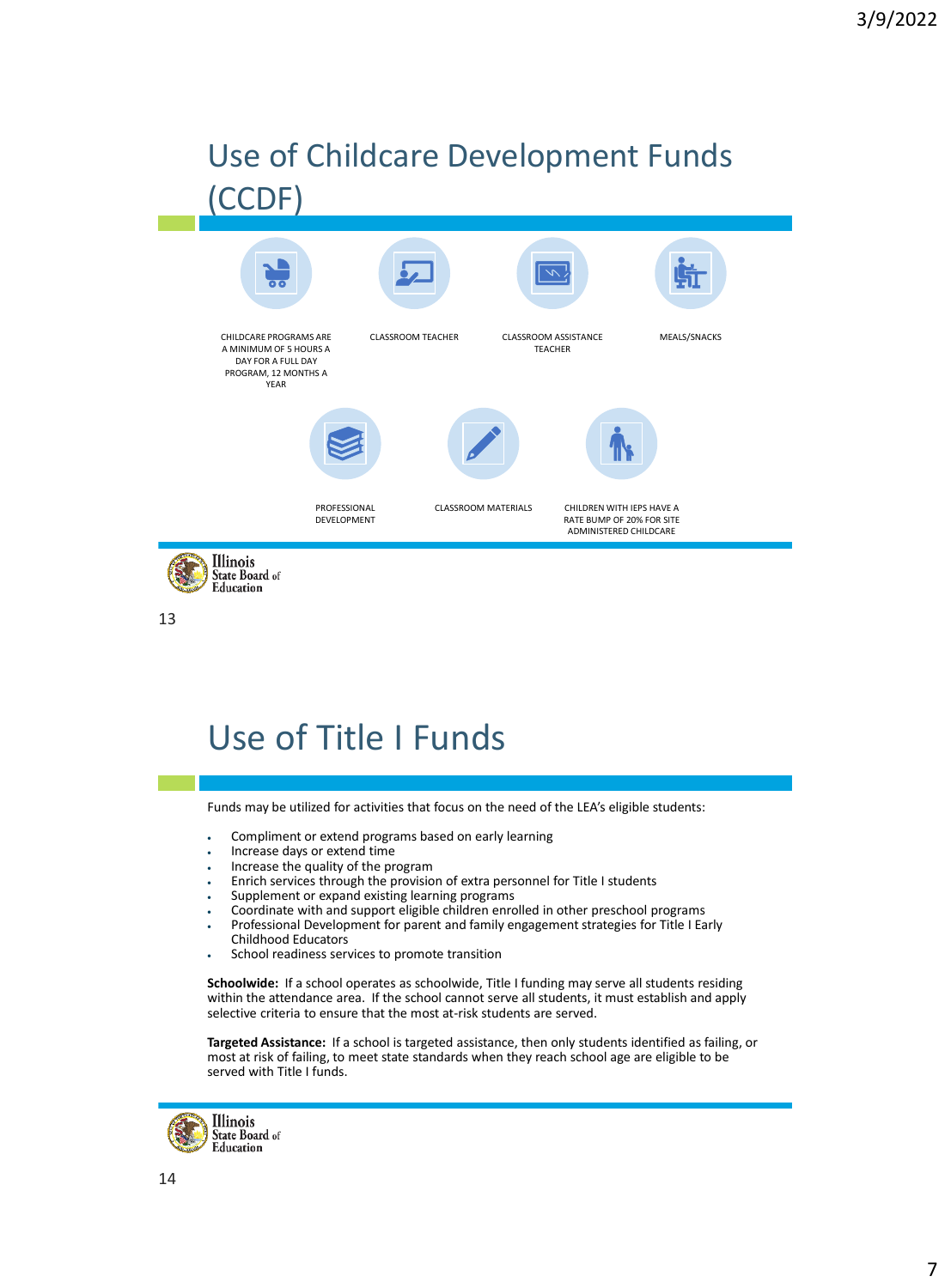### Use of Childcare Development Funds (CCDF)



13

### Use of Title I Funds

Funds may be utilized for activities that focus on the need of the LEA's eligible students:

- Compliment or extend programs based on early learning
- Increase days or extend time
- Increase the quality of the program
- Enrich services through the provision of extra personnel for Title I students
- Supplement or expand existing learning programs
- Coordinate with and support eligible children enrolled in other preschool programs
- Professional Development for parent and family engagement strategies for Title I Early
- Childhood Educators
- School readiness services to promote transition

**Schoolwide:** If a school operates as schoolwide, Title I funding may serve all students residing within the attendance area. If the school cannot serve all students, it must establish and apply selective criteria to ensure that the most at-risk students are served.

**Targeted Assistance:** If a school is targeted assistance, then only students identified as failing, or most at risk of failing, to meet state standards when they reach school age are eligible to be served with Title I funds.

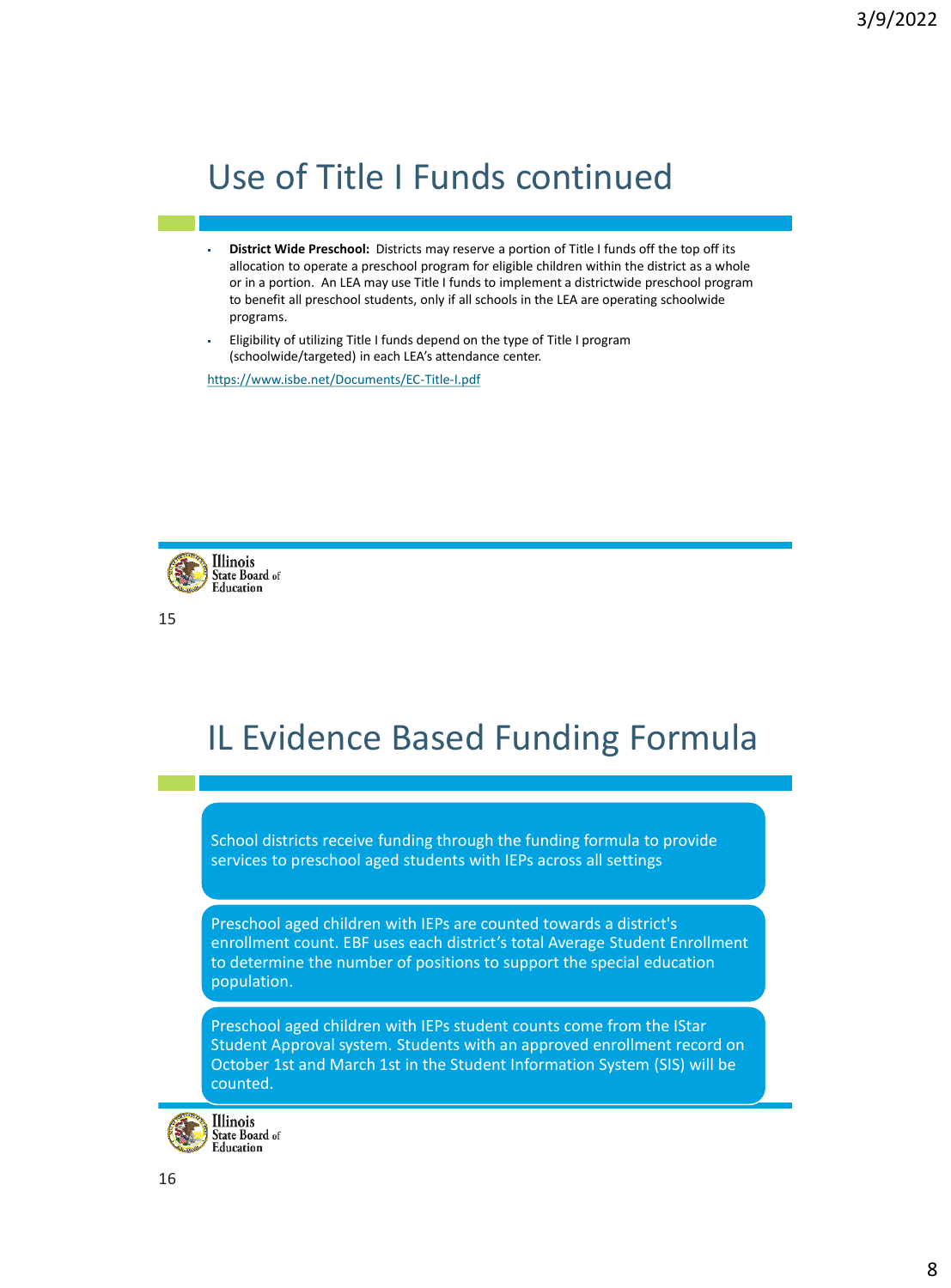### Use of Title I Funds continued

- **District Wide Preschool:** Districts may reserve a portion of Title I funds off the top off its allocation to operate a preschool program for eligible children within the district as a whole or in a portion. An LEA may use Title I funds to implement a districtwide preschool program to benefit all preschool students, only if all schools in the LEA are operating schoolwide programs.
- Eligibility of utilizing Title I funds depend on the type of Title I program (schoolwide/targeted) in each LEA's attendance center.

<https://www.isbe.net/Documents/EC-Title-I.pdf>



15

### IL Evidence Based Funding Formula

School districts receive funding through the funding formula to provide services to preschool aged students with IEPs across all settings

Preschool aged children with IEPs are counted towards a district's enrollment count. EBF uses each district's total Average Student Enrollment to determine the number of positions to support the special education population.

Preschool aged children with IEPs student counts come from the IStar Student Approval system. Students with an approved enrollment record on October 1st and March 1st in the Student Information System (SIS) will be counted.

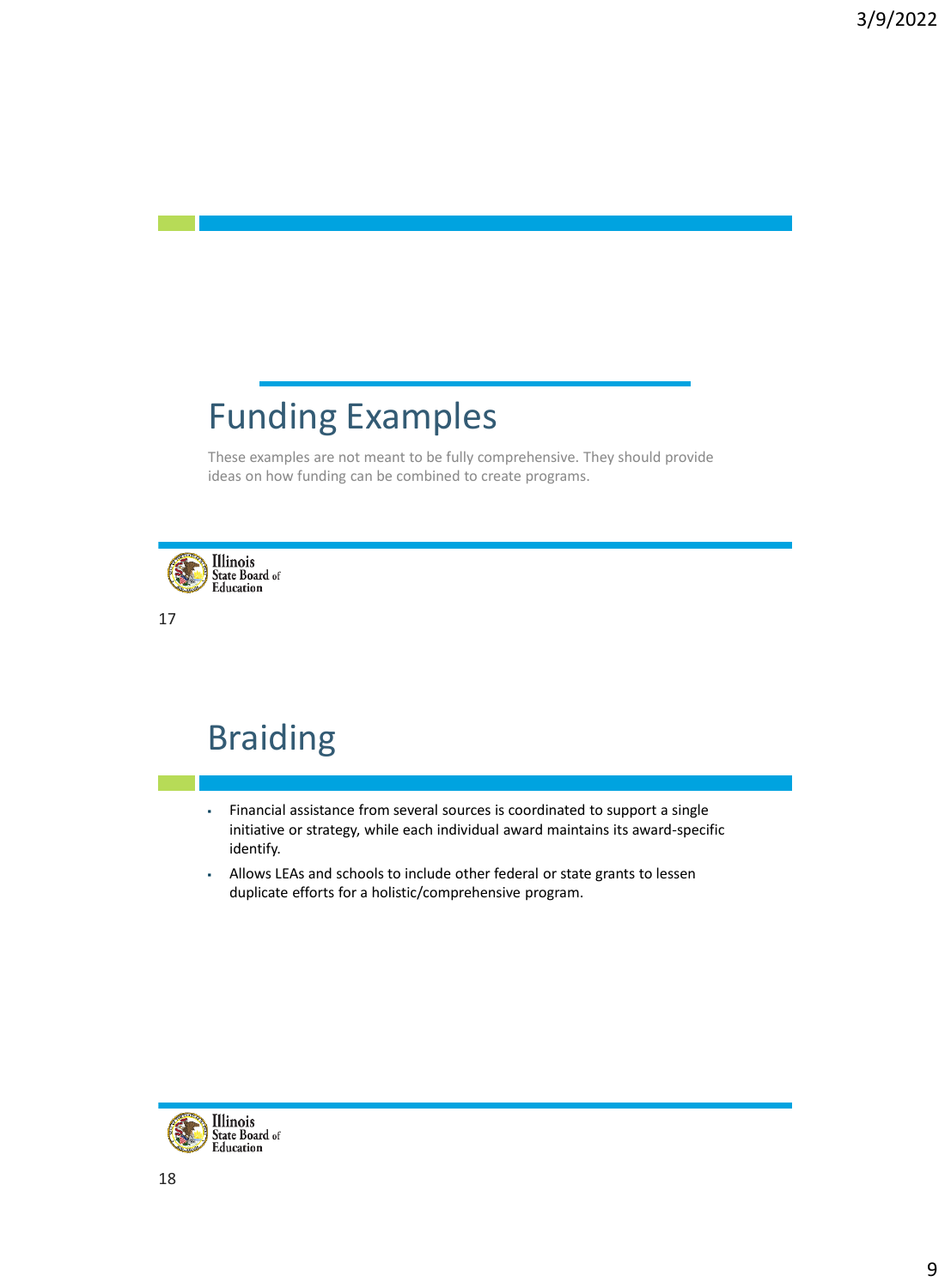### Funding Examples

These examples are not meant to be fully comprehensive. They should provide ideas on how funding can be combined to create programs.



17

### Braiding

- Financial assistance from several sources is coordinated to support a single initiative or strategy, while each individual award maintains its award-specific identify.
- Allows LEAs and schools to include other federal or state grants to lessen duplicate efforts for a holistic/comprehensive program.

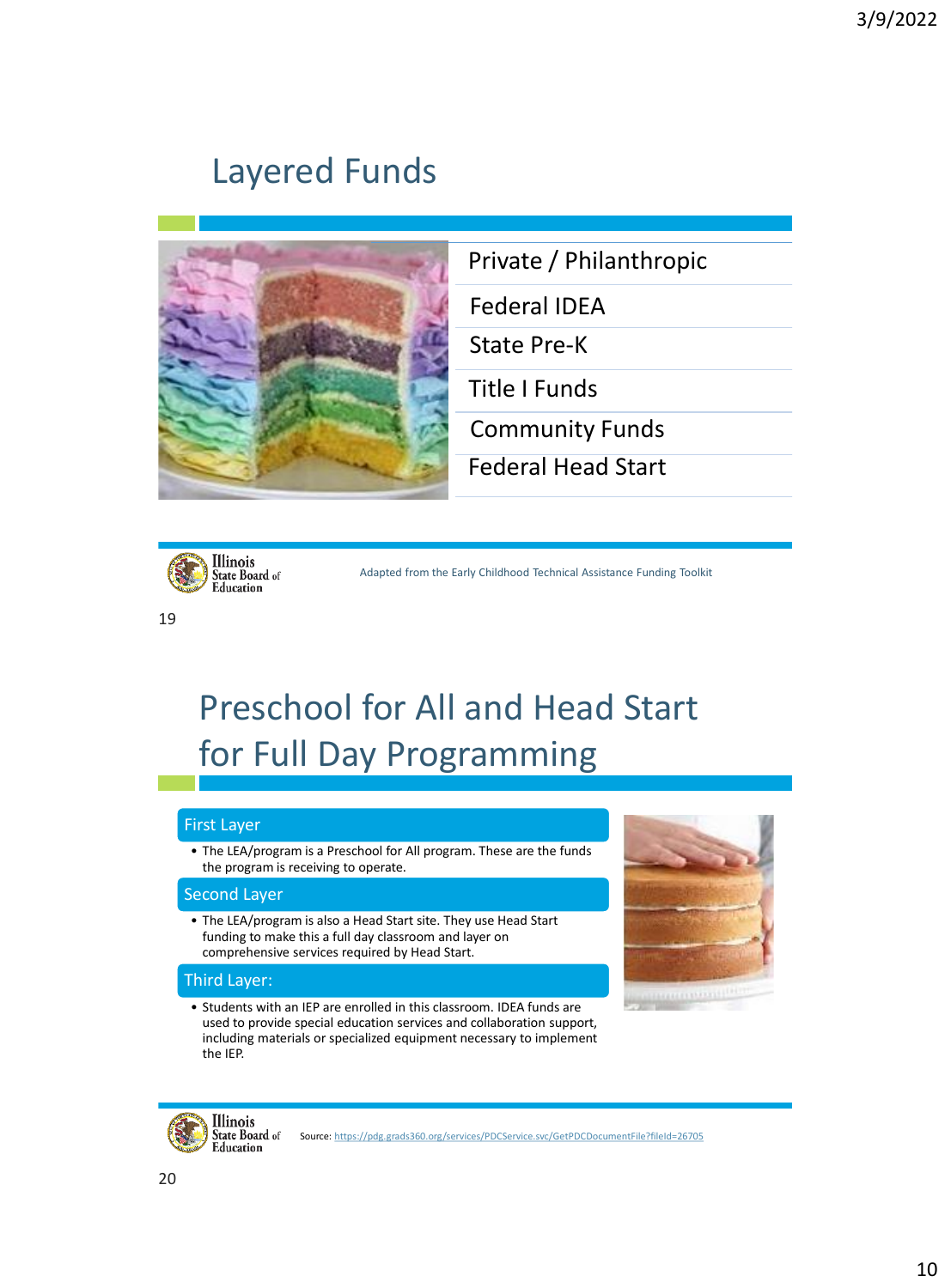### Layered Funds



Private / Philanthropic

Federal IDEA

State Pre-K

Title I Funds

Community Funds

Federal Head Start



19

Adapted from the Early Childhood Technical Assistance Funding Toolkit

# Preschool for All and Head Start for Full Day Programming

#### First Layer

• The LEA/program is a Preschool for All program. These are the funds the program is receiving to operate.

#### Second Layer

• The LEA/program is also a Head Start site. They use Head Start funding to make this a full day classroom and layer on comprehensive services required by Head Start.

#### Third Layer:

• Students with an IEP are enrolled in this classroom. IDEA funds are used to provide special education services and collaboration support, including materials or specialized equipment necessary to implement the IEP.





Source: <https://pdg.grads360.org/services/PDCService.svc/GetPDCDocumentFile?fileId=26705>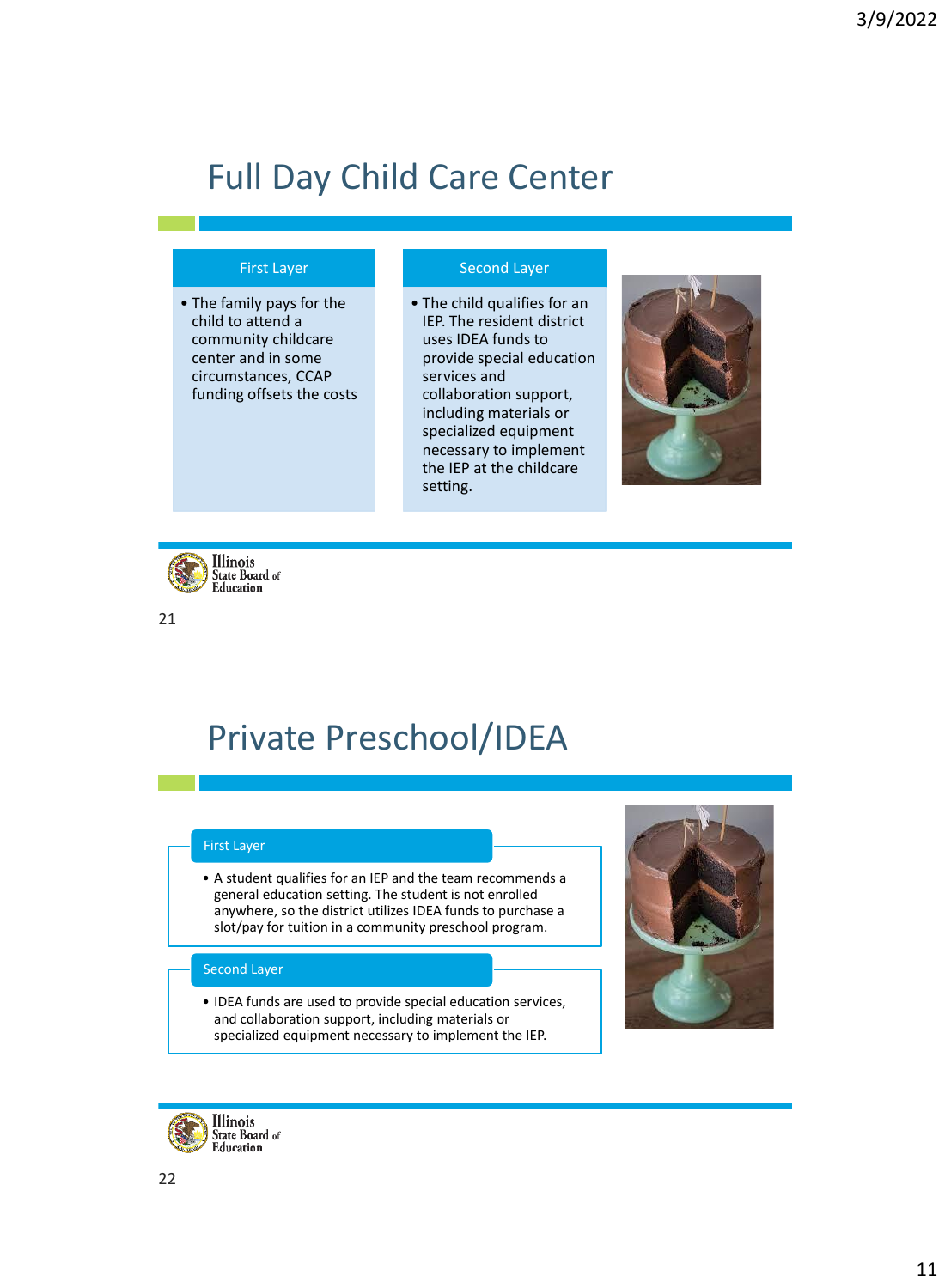# Full Day Child Care Center

#### First Layer

• The family pays for the child to attend a community childcare center and in some circumstances, CCAP funding offsets the costs

#### Second Layer

• The child qualifies for an IEP. The resident district uses IDEA funds to provide special education services and collaboration support, including materials or specialized equipment necessary to implement the IEP at the childcare setting.





21

### Private Preschool/IDEA

#### First Layer

• A student qualifies for an IEP and the team recommends a general education setting. The student is not enrolled anywhere, so the district utilizes IDEA funds to purchase a slot/pay for tuition in a community preschool program.

#### Second Layer

• IDEA funds are used to provide special education services, and collaboration support, including materials or specialized equipment necessary to implement the IEP.

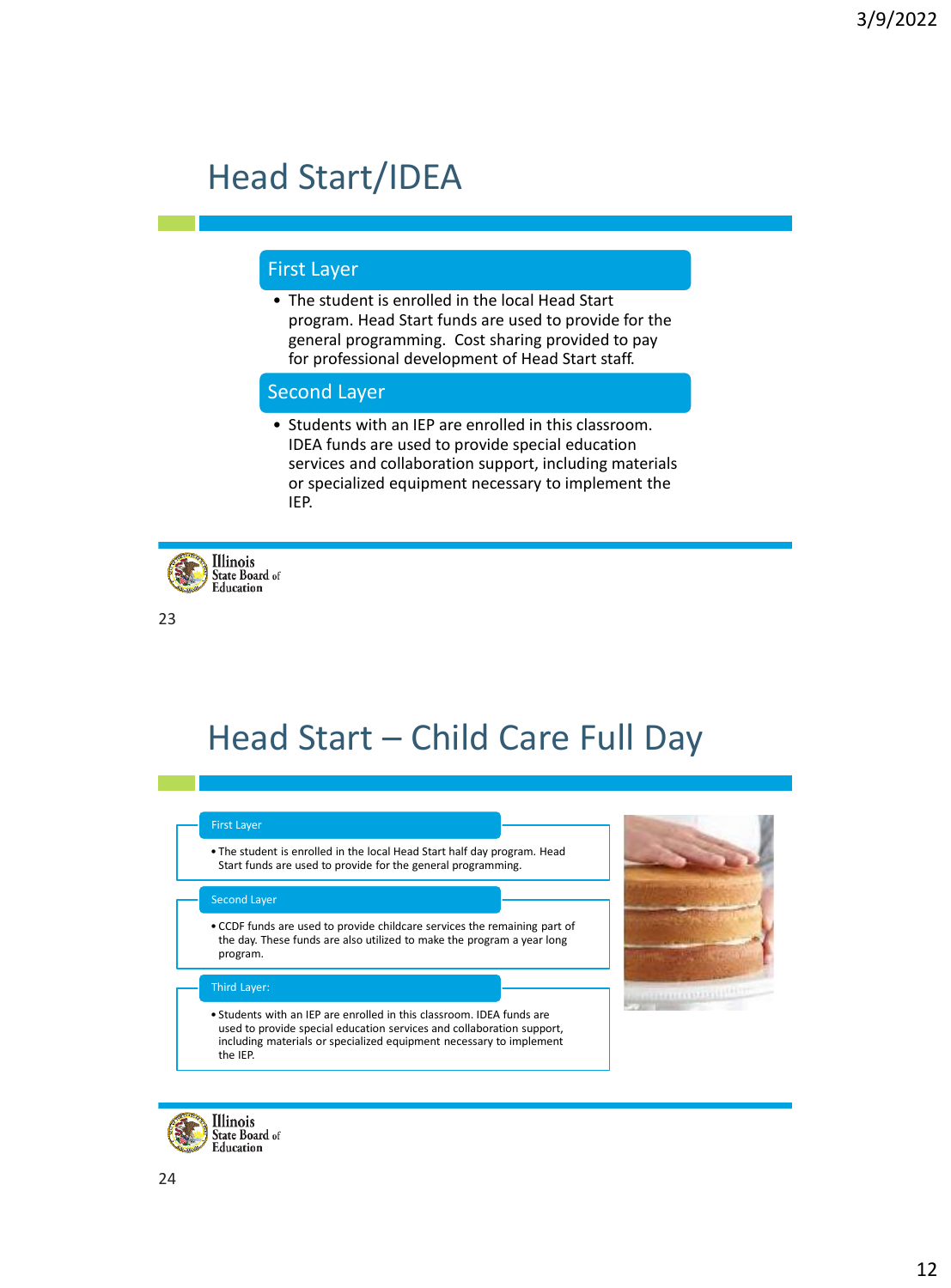### Head Start/IDEA

#### First Layer

• The student is enrolled in the local Head Start program. Head Start funds are used to provide for the general programming. Cost sharing provided to pay for professional development of Head Start staff.

#### Second Layer

• Students with an IEP are enrolled in this classroom. IDEA funds are used to provide special education services and collaboration support, including materials or specialized equipment necessary to implement the IEP.



23

### Head Start – Child Care Full Day

#### First Layer

• The student is enrolled in the local Head Start half day program. Head Start funds are used to provide for the general programming.

#### Second Layer

• CCDF funds are used to provide childcare services the remaining part of the day. These funds are also utilized to make the program a year long program.

#### Third Layer:

• Students with an IEP are enrolled in this classroom. IDEA funds are used to provide special education services and collaboration support, including materials or specialized equipment necessary to implement the IEP.

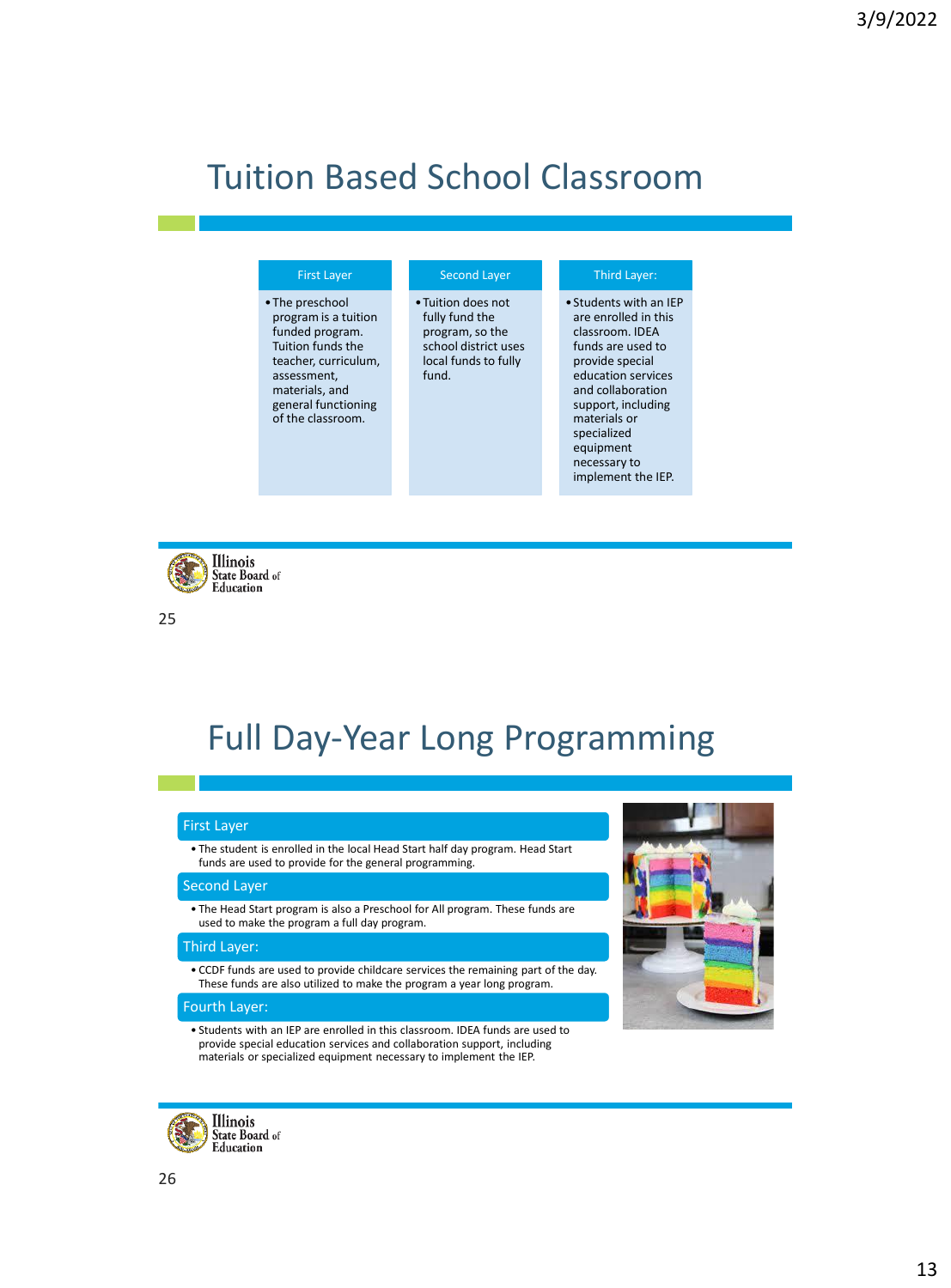### Tuition Based School Classroom

| <b>First Layer</b>                                                                                                                                                                   | <b>Second Layer</b>                                                                                              | <b>Third Layer:</b>                                                                                                                                                                                                                                          |
|--------------------------------------------------------------------------------------------------------------------------------------------------------------------------------------|------------------------------------------------------------------------------------------------------------------|--------------------------------------------------------------------------------------------------------------------------------------------------------------------------------------------------------------------------------------------------------------|
| • The preschool<br>program is a tuition<br>funded program.<br>Tuition funds the<br>teacher, curriculum,<br>assessment,<br>materials, and<br>general functioning<br>of the classroom. | • Tuition does not<br>fully fund the<br>program, so the<br>school district uses<br>local funds to fully<br>fund. | • Students with an IEP<br>are enrolled in this<br>classroom. IDEA<br>funds are used to<br>provide special<br>education services<br>and collaboration<br>support, including<br>materials or<br>specialized<br>equipment<br>necessary to<br>implement the IEP. |



25

### Full Day-Year Long Programming

#### First Layer

• The student is enrolled in the local Head Start half day program. Head Start funds are used to provide for the general programming.

#### **Second Layer**

• The Head Start program is also a Preschool for All program. These funds are used to make the program a full day program.

#### Third Layer:

• CCDF funds are used to provide childcare services the remaining part of the day. These funds are also utilized to make the program a year long program.

#### Fourth Layer:

• Students with an IEP are enrolled in this classroom. IDEA funds are used to provide special education services and collaboration support, including materials or specialized equipment necessary to implement the IEP.



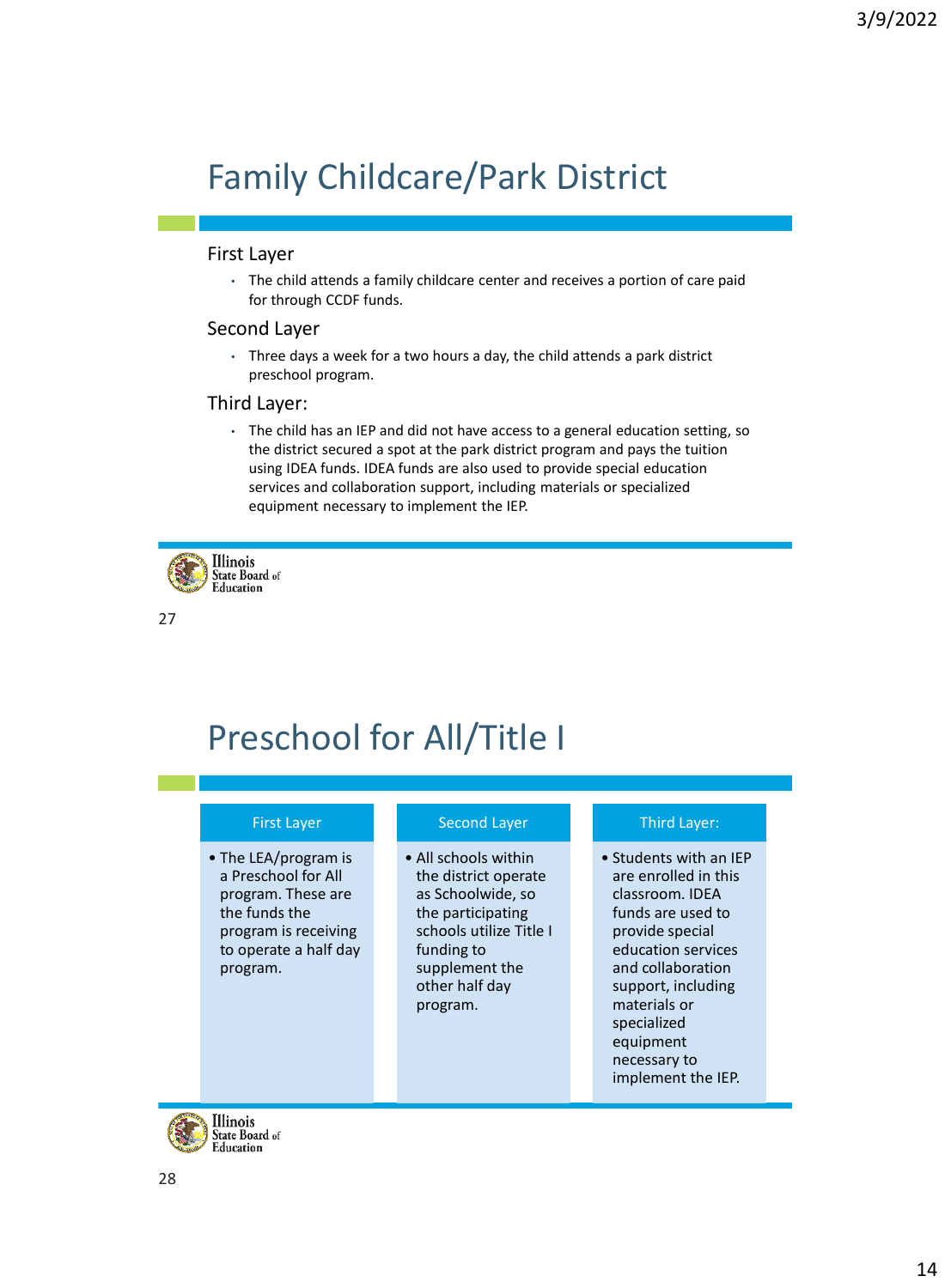# Family Childcare/Park District

#### First Layer

• The child attends a family childcare center and receives a portion of care paid for through CCDF funds.

#### Second Layer

• Three days a week for a two hours a day, the child attends a park district preschool program.

#### Third Layer:

• The child has an IEP and did not have access to a general education setting, so the district secured a spot at the park district program and pays the tuition using IDEA funds. IDEA funds are also used to provide special education services and collaboration support, including materials or specialized equipment necessary to implement the IEP.



27

### Preschool for All/Title I

#### First Layer

• The LEA/program is a Preschool for All program. These are the funds the program is receiving to operate a half day program.

Second Layer

• All schools within the district operate as Schoolwide, so the participating schools utilize Title I funding to supplement the other half day program.

#### Third Layer:

• Students with an IEP are enrolled in this classroom. IDEA funds are used to provide special education services and collaboration support, including materials or specialized equipment necessary to implement the IEP.

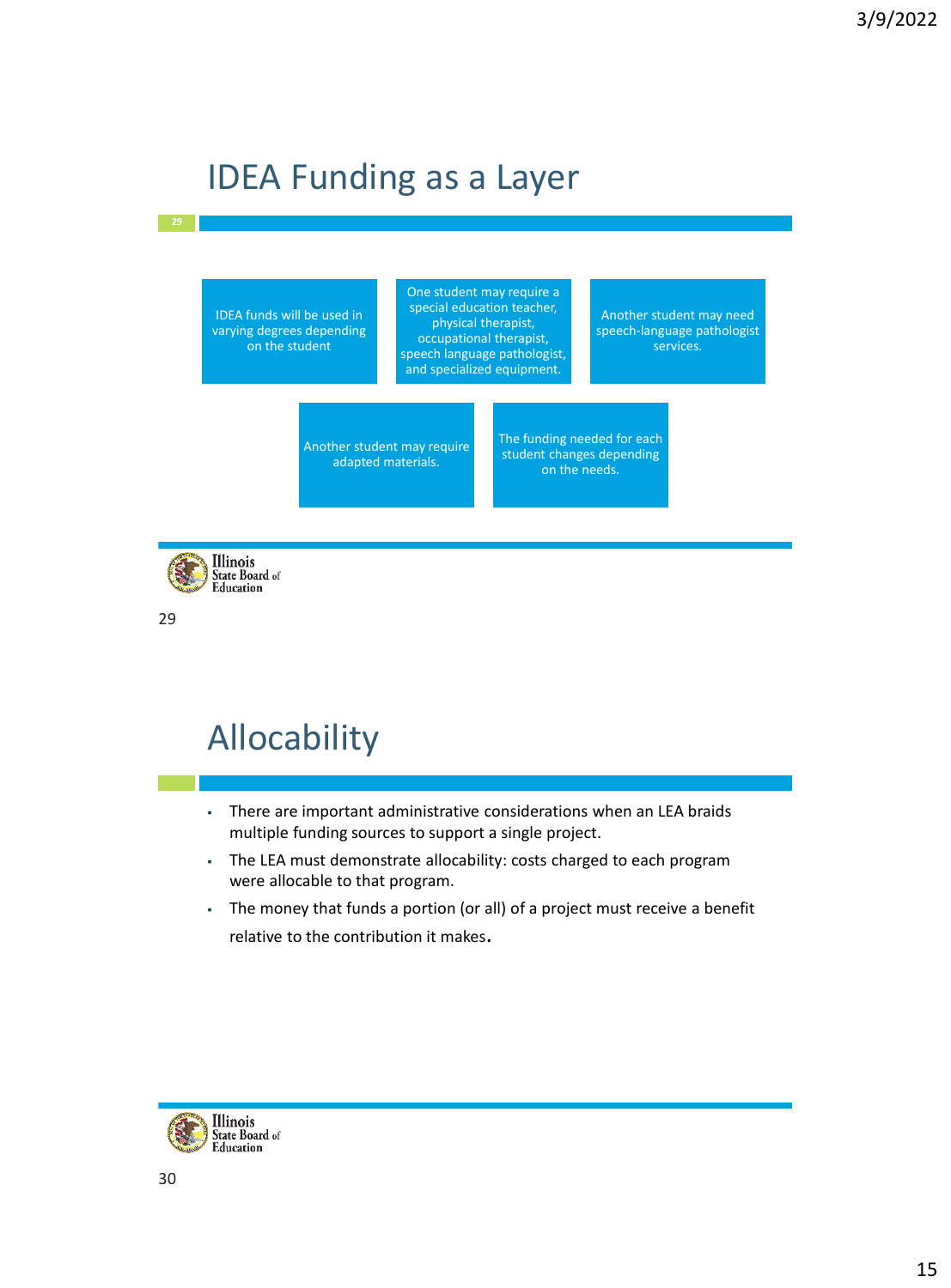# IDEA Funding as a Layer

IDEA funds will be used in varying degrees depending on the student

One student may require a special education teacher, physical therapist, occupational therapist, speech language pathologist, and specialized equipment.

Another student may need speech-language pathologist services.

Another student may require adapted materials.

The funding needed for each student changes depending on the needs.



29

# Allocability

- There are important administrative considerations when an LEA braids multiple funding sources to support a single project.
- The LEA must demonstrate allocability: costs charged to each program were allocable to that program.
- The money that funds a portion (or all) of a project must receive a benefit relative to the contribution it makes.

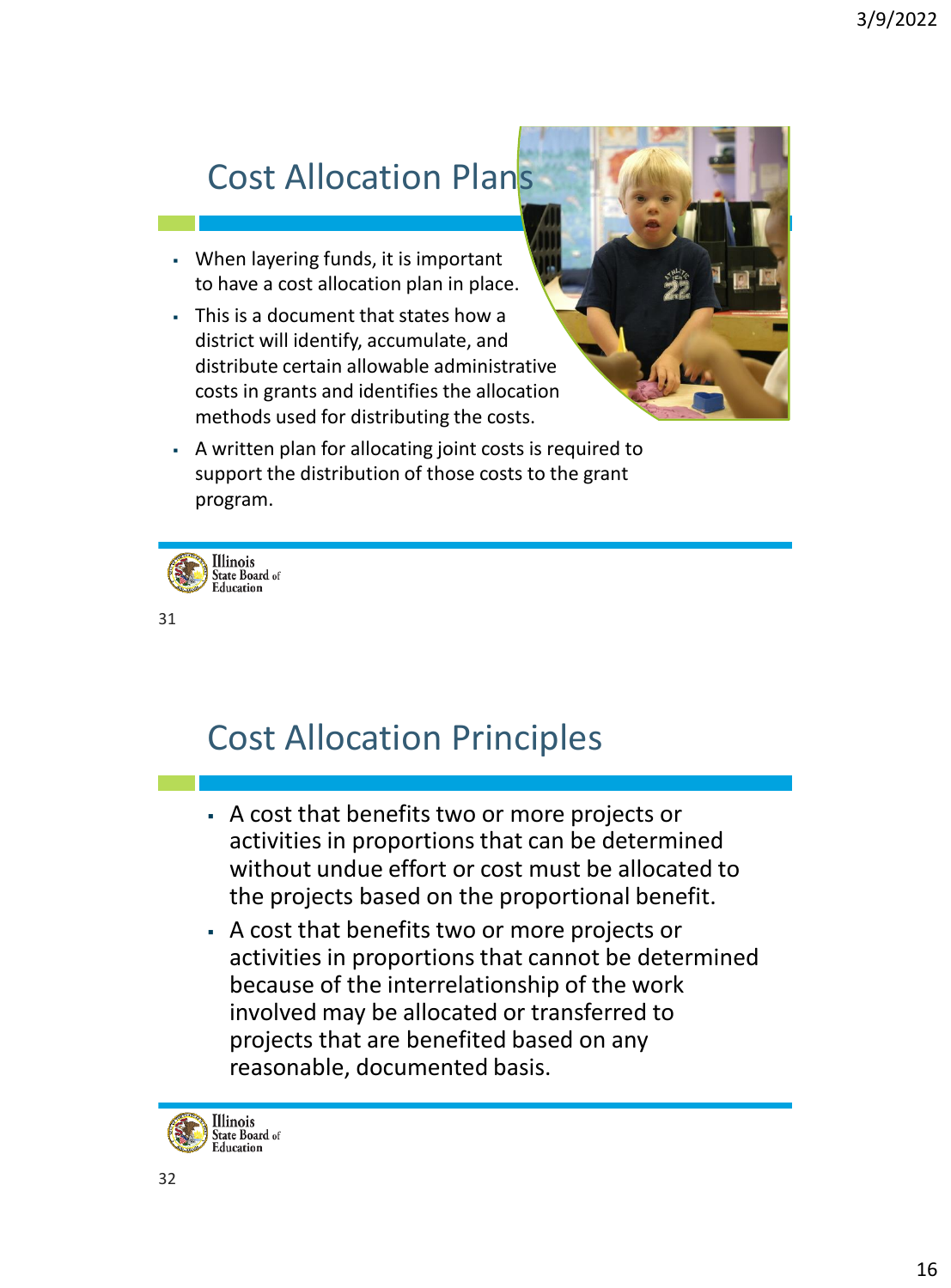# Cost Allocation Plans

- When layering funds, it is important to have a cost allocation plan in place.
- This is a document that states how a district will identify, accumulate, and distribute certain allowable administrative costs in grants and identifies the allocation methods used for distributing the costs.



▪ A written plan for allocating joint costs is required to support the distribution of those costs to the grant program.



31

### Cost Allocation Principles

- A cost that benefits two or more projects or activities in proportions that can be determined without undue effort or cost must be allocated to the projects based on the proportional benefit.
- A cost that benefits two or more projects or activities in proportions that cannot be determined because of the interrelationship of the work involved may be allocated or transferred to projects that are benefited based on any reasonable, documented basis.